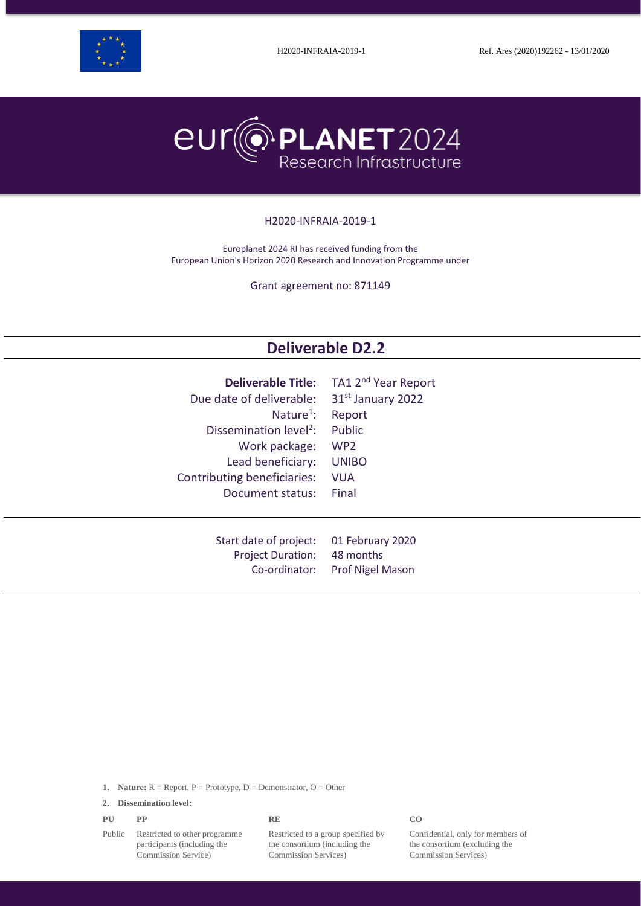



#### H2020-INFRAIA-2019-1

Europlanet 2024 RI has received funding from the European Union's Horizon 2020 Research and Innovation Programme under

Grant agreement no: 871149

# **Deliverable D2.2**

| <b>Deliverable Title:</b>          | TA1 2 <sup>nd</sup> Year Report |
|------------------------------------|---------------------------------|
| Due date of deliverable:           | 31 <sup>st</sup> January 2022   |
| Nature <sup>1</sup> :              | Report                          |
| Dissemination level <sup>2</sup> : | Public                          |
| Work package:                      | WP <sub>2</sub>                 |
| Lead beneficiary:                  | <b>UNIBO</b>                    |
| Contributing beneficiaries:        | <b>VUA</b>                      |
| Document status:                   | Final                           |
| Start date of project:             | 01 February 2020                |
| <b>Project Duration:</b>           | 48 months                       |
| Co-ordinator:                      | Prof Nigel Mason                |

**1. Nature:**  $R =$  Report,  $P =$  Prototype,  $D =$  Demonstrator,  $O =$  Other

**2. Dissemination level:**

| PU | PP | <b>RE</b> | CO |
|----|----|-----------|----|
|    |    |           |    |

Public Restricted to other programme participants (including the Commission Service)

Restricted to a group specified by the consortium (including the Commission Services)

Confidential, only for members of the consortium (excluding the Commission Services)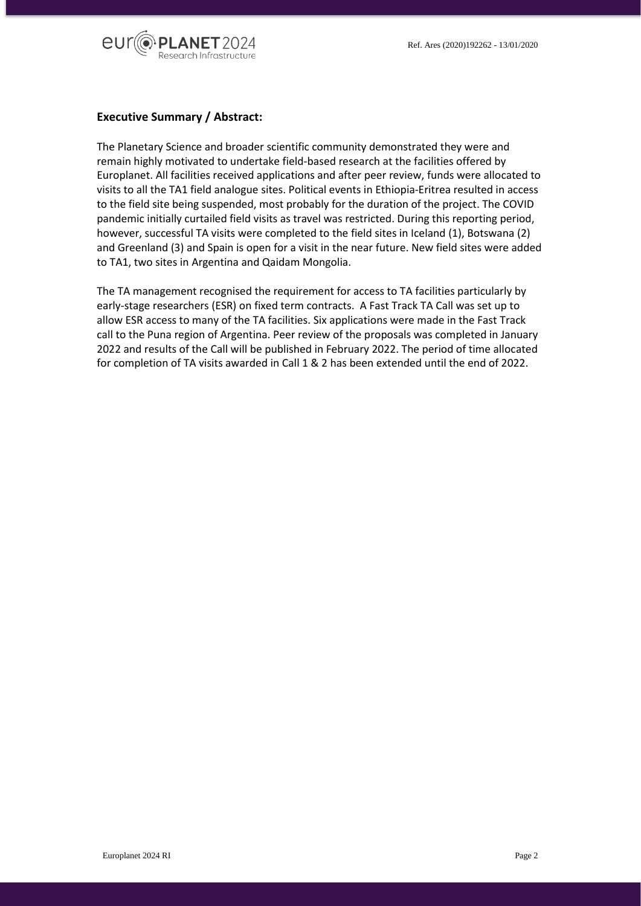

#### **Executive Summary / Abstract:**

The Planetary Science and broader scientific community demonstrated they were and remain highly motivated to undertake field-based research at the facilities offered by Europlanet. All facilities received applications and after peer review, funds were allocated to visits to all the TA1 field analogue sites. Political events in Ethiopia-Eritrea resulted in access to the field site being suspended, most probably for the duration of the project. The COVID pandemic initially curtailed field visits as travel was restricted. During this reporting period, however, successful TA visits were completed to the field sites in Iceland (1), Botswana (2) and Greenland (3) and Spain is open for a visit in the near future. New field sites were added to TA1, two sites in Argentina and Qaidam Mongolia.

The TA management recognised the requirement for access to TA facilities particularly by early-stage researchers (ESR) on fixed term contracts. A Fast Track TA Call was set up to allow ESR access to many of the TA facilities. Six applications were made in the Fast Track call to the Puna region of Argentina. Peer review of the proposals was completed in January 2022 and results of the Call will be published in February 2022. The period of time allocated for completion of TA visits awarded in Call 1 & 2 has been extended until the end of 2022.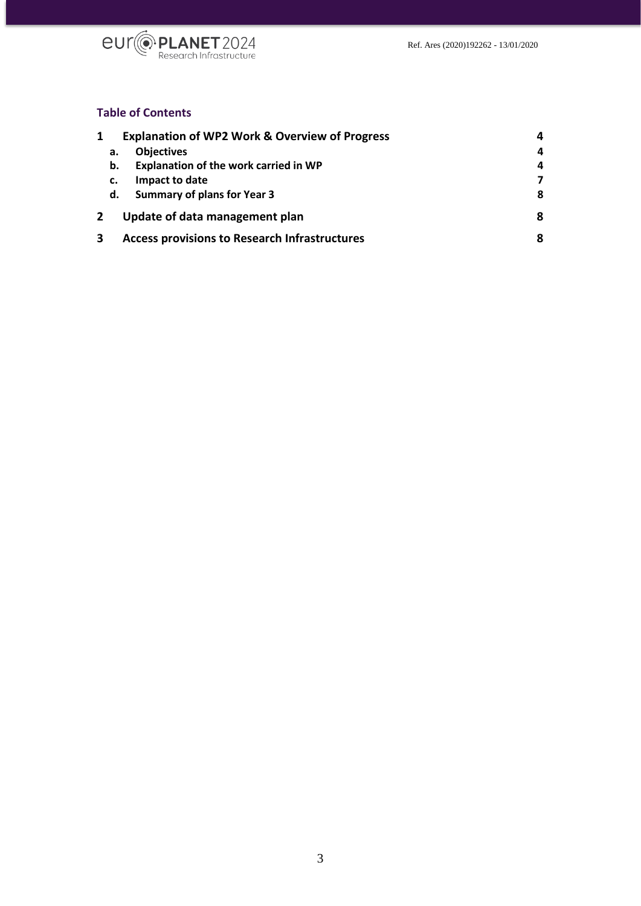

# **Table of Contents**

|   | <b>Explanation of WP2 Work &amp; Overview of Progress</b> |                                       |   |
|---|-----------------------------------------------------------|---------------------------------------|---|
|   | а.                                                        | <b>Objectives</b>                     | 4 |
|   | b.                                                        | Explanation of the work carried in WP | 4 |
|   | c.                                                        | Impact to date                        |   |
|   | d.                                                        | <b>Summary of plans for Year 3</b>    | 8 |
|   | Update of data management plan<br>8                       |                                       |   |
| 3 | <b>Access provisions to Research Infrastructures</b><br>8 |                                       |   |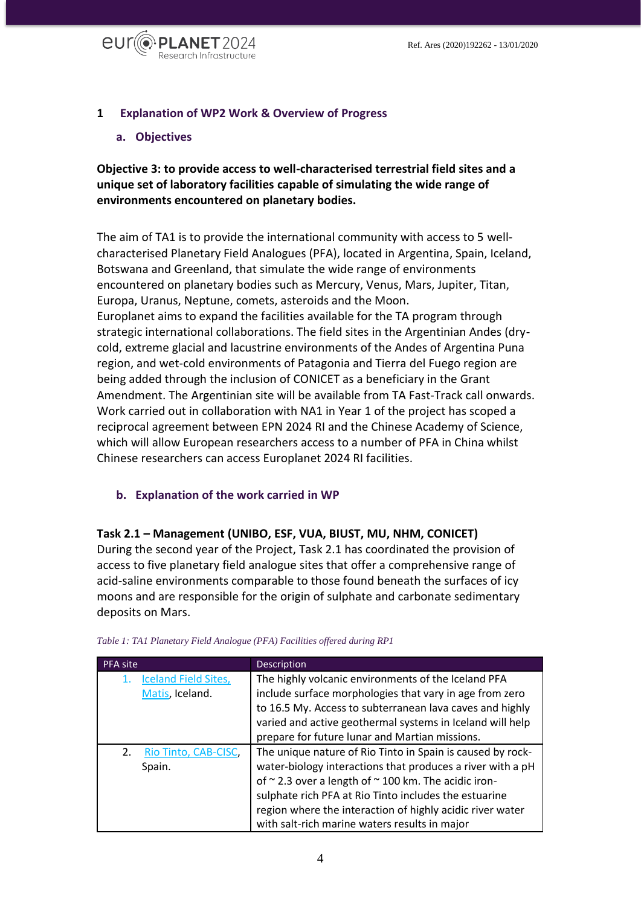

# <span id="page-3-0"></span>**1 Explanation of WP2 Work & Overview of Progress**

### <span id="page-3-1"></span>**a. Objectives**

**Objective 3: to provide access to well-characterised terrestrial field sites and a unique set of laboratory facilities capable of simulating the wide range of environments encountered on planetary bodies.**

The aim of TA1 is to provide the international community with access to 5 wellcharacterised Planetary Field Analogues (PFA), located in Argentina, Spain, Iceland, Botswana and Greenland, that simulate the wide range of environments encountered on planetary bodies such as Mercury, Venus, Mars, Jupiter, Titan, Europa, Uranus, Neptune, comets, asteroids and the Moon. Europlanet aims to expand the facilities available for the TA program through strategic international collaborations. The field sites in the Argentinian Andes (drycold, extreme glacial and lacustrine environments of the Andes of Argentina Puna region, and wet-cold environments of Patagonia and Tierra del Fuego region are being added through the inclusion of CONICET as a beneficiary in the Grant Amendment. The Argentinian site will be available from TA Fast-Track call onwards. Work carried out in collaboration with NA1 in Year 1 of the project has scoped a reciprocal agreement between EPN 2024 RI and the Chinese Academy of Science, which will allow European researchers access to a number of PFA in China whilst Chinese researchers can access Europlanet 2024 RI facilities.

# <span id="page-3-2"></span>**b. Explanation of the work carried in WP**

#### **Task 2.1 – Management (UNIBO, ESF, VUA, BIUST, MU, NHM, CONICET)**

During the second year of the Project, Task 2.1 has coordinated the provision of access to five planetary field analogue sites that offer a comprehensive range of acid-saline environments comparable to those found beneath the surfaces of icy moons and are responsible for the origin of sulphate and carbonate sedimentary deposits on Mars.

| <b>PFA site</b>             | <b>Description</b>                                         |
|-----------------------------|------------------------------------------------------------|
| <b>Iceland Field Sites,</b> | The highly volcanic environments of the Iceland PFA        |
| Matis, Iceland.             | include surface morphologies that vary in age from zero    |
|                             | to 16.5 My. Access to subterranean lava caves and highly   |
|                             | varied and active geothermal systems in Iceland will help  |
|                             | prepare for future lunar and Martian missions.             |
| 2.<br>Rio Tinto, CAB-CISC,  | The unique nature of Rio Tinto in Spain is caused by rock- |
| Spain.                      | water-biology interactions that produces a river with a pH |
|                             | of ~2.3 over a length of ~100 km. The acidic iron-         |
|                             | sulphate rich PFA at Rio Tinto includes the estuarine      |
|                             | region where the interaction of highly acidic river water  |
|                             | with salt-rich marine waters results in major              |

#### *Table 1: TA1 Planetary Field Analogue (PFA) Facilities offered during RP1*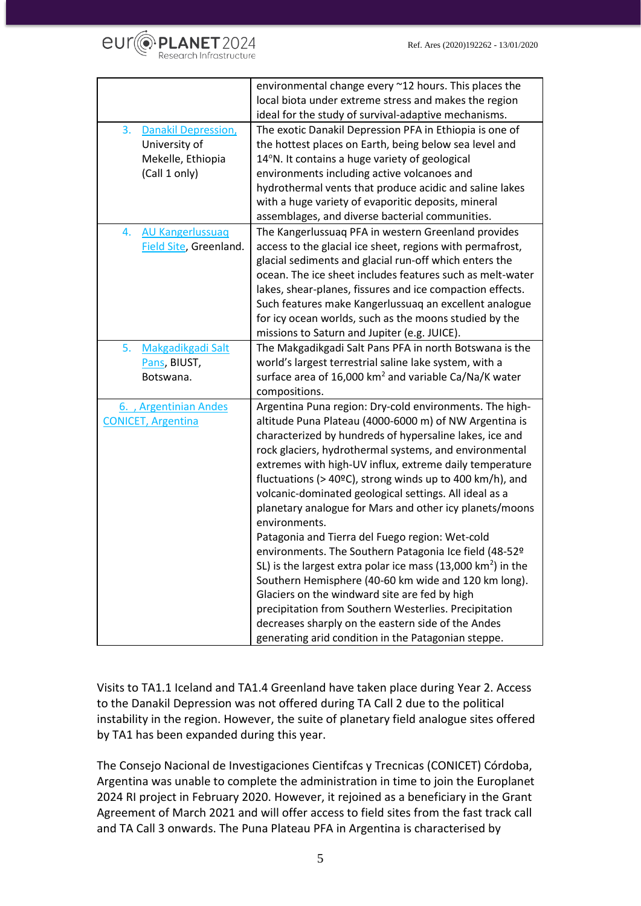

|                                                                                         | environmental change every ~12 hours. This places the<br>local biota under extreme stress and makes the region                                                                                                                                                                                                                                                                                                                                                                                                                                                                                                                                                                                                                                                                                                                                                                                                                                                                       |
|-----------------------------------------------------------------------------------------|--------------------------------------------------------------------------------------------------------------------------------------------------------------------------------------------------------------------------------------------------------------------------------------------------------------------------------------------------------------------------------------------------------------------------------------------------------------------------------------------------------------------------------------------------------------------------------------------------------------------------------------------------------------------------------------------------------------------------------------------------------------------------------------------------------------------------------------------------------------------------------------------------------------------------------------------------------------------------------------|
|                                                                                         | ideal for the study of survival-adaptive mechanisms.                                                                                                                                                                                                                                                                                                                                                                                                                                                                                                                                                                                                                                                                                                                                                                                                                                                                                                                                 |
| 3.<br><b>Danakil Depression,</b><br>University of<br>Mekelle, Ethiopia<br>(Call 1 only) | The exotic Danakil Depression PFA in Ethiopia is one of<br>the hottest places on Earth, being below sea level and<br>14°N. It contains a huge variety of geological<br>environments including active volcanoes and<br>hydrothermal vents that produce acidic and saline lakes<br>with a huge variety of evaporitic deposits, mineral<br>assemblages, and diverse bacterial communities.                                                                                                                                                                                                                                                                                                                                                                                                                                                                                                                                                                                              |
| <b>AU Kangerlussuag</b><br>4.<br>Field Site, Greenland.                                 | The Kangerlussuag PFA in western Greenland provides<br>access to the glacial ice sheet, regions with permafrost,<br>glacial sediments and glacial run-off which enters the<br>ocean. The ice sheet includes features such as melt-water<br>lakes, shear-planes, fissures and ice compaction effects.<br>Such features make Kangerlussuag an excellent analogue<br>for icy ocean worlds, such as the moons studied by the<br>missions to Saturn and Jupiter (e.g. JUICE).                                                                                                                                                                                                                                                                                                                                                                                                                                                                                                             |
| Makgadikgadi Salt<br>5.<br>Pans, BIUST,<br>Botswana.                                    | The Makgadikgadi Salt Pans PFA in north Botswana is the<br>world's largest terrestrial saline lake system, with a<br>surface area of 16,000 km <sup>2</sup> and variable Ca/Na/K water<br>compositions.                                                                                                                                                                                                                                                                                                                                                                                                                                                                                                                                                                                                                                                                                                                                                                              |
| 6., Argentinian Andes<br><b>CONICET, Argentina</b>                                      | Argentina Puna region: Dry-cold environments. The high-<br>altitude Puna Plateau (4000-6000 m) of NW Argentina is<br>characterized by hundreds of hypersaline lakes, ice and<br>rock glaciers, hydrothermal systems, and environmental<br>extremes with high-UV influx, extreme daily temperature<br>fluctuations (> 40 $^{\circ}$ C), strong winds up to 400 km/h), and<br>volcanic-dominated geological settings. All ideal as a<br>planetary analogue for Mars and other icy planets/moons<br>environments.<br>Patagonia and Tierra del Fuego region: Wet-cold<br>environments. The Southern Patagonia Ice field (48-52º<br>SL) is the largest extra polar ice mass $(13,000 \text{ km}^2)$ in the<br>Southern Hemisphere (40-60 km wide and 120 km long).<br>Glaciers on the windward site are fed by high<br>precipitation from Southern Westerlies. Precipitation<br>decreases sharply on the eastern side of the Andes<br>generating arid condition in the Patagonian steppe. |

Visits to TA1.1 Iceland and TA1.4 Greenland have taken place during Year 2. Access to the Danakil Depression was not offered during TA Call 2 due to the political instability in the region. However, the suite of planetary field analogue sites offered by TA1 has been expanded during this year.

The Consejo Nacional de Investigaciones Cientifcas y Trecnicas (CONICET) Córdoba, Argentina was unable to complete the administration in time to join the Europlanet 2024 RI project in February 2020. However, it rejoined as a beneficiary in the Grant Agreement of March 2021 and will offer access to field sites from the fast track call and TA Call 3 onwards. The Puna Plateau PFA in Argentina is characterised by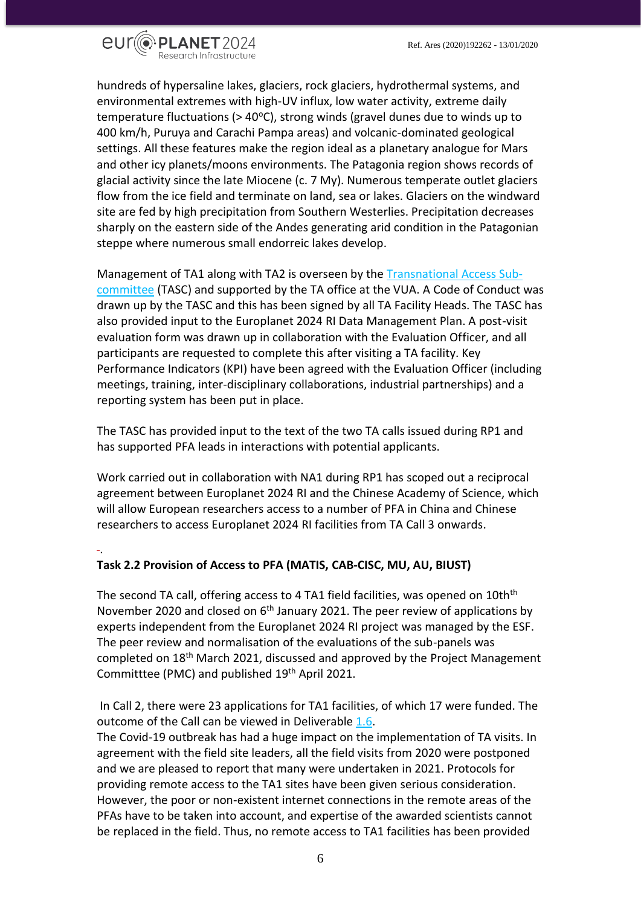

hundreds of hypersaline lakes, glaciers, rock glaciers, hydrothermal systems, and environmental extremes with high-UV influx, low water activity, extreme daily temperature fluctuations ( $> 40^{\circ}$ C), strong winds (gravel dunes due to winds up to 400 km/h, Puruya and Carachi Pampa areas) and volcanic-dominated geological settings. All these features make the region ideal as a planetary analogue for Mars and other icy planets/moons environments. The Patagonia region shows records of glacial activity since the late Miocene (c. 7 My). Numerous temperate outlet glaciers flow from the ice field and terminate on land, sea or lakes. Glaciers on the windward site are fed by high precipitation from Southern Westerlies. Precipitation decreases sharply on the eastern side of the Andes generating arid condition in the Patagonian steppe where numerous small endorreic lakes develop.

Management of TA1 along with TA2 is overseen by the [Transnational Access Sub](https://www.europlanet-society.org/europlanet-2024-ri/europlanet-2024-ri-committees/#TASC)[committee](https://www.europlanet-society.org/europlanet-2024-ri/europlanet-2024-ri-committees/#TASC) [\(TASC\)](https://www.europlanet-society.org/europlanet-2024-ri/europlanet-2024-ri-committees/#TASC) and supported by the TA office at the VUA. A Code of Conduct was drawn up by the TASC and this has been signed by all TA Facility Heads. The TASC has also provided input to the Europlanet 2024 RI Data Management Plan. A post-visit evaluation form was drawn up in collaboration with the Evaluation Officer, and all participants are requested to complete this after visiting a TA facility. Key Performance Indicators (KPI) have been agreed with the Evaluation Officer (including meetings, training, inter-disciplinary collaborations, industrial partnerships) and a reporting system has been put in place.

The TASC has provided input to the text of the two TA calls issued during RP1 and has supported PFA leads in interactions with potential applicants.

Work carried out in collaboration with NA1 during RP1 has scoped out a reciprocal agreement between Europlanet 2024 RI and the Chinese Academy of Science, which will allow European researchers access to a number of PFA in China and Chinese researchers to access Europlanet 2024 RI facilities from TA Call 3 onwards.

# .

# **Task 2.2 Provision of Access to PFA (MATIS, CAB-CISC, MU, AU, BIUST)**

The second TA call, offering access to 4 TA1 field facilities, was opened on 10th<sup>th</sup> November 2020 and closed on 6<sup>th</sup> January 2021. The peer review of applications by experts independent from the Europlanet 2024 RI project was managed by the ESF. The peer review and normalisation of the evaluations of the sub-panels was completed on 18<sup>th</sup> March 2021, discussed and approved by the Project Management Committtee (PMC) and published 19<sup>th</sup> April 2021.

In Call 2, there were 23 applications for TA1 facilities, of which 17 were funded. The outcome of the Call can be viewed in [Deliverable 1.6.](https://www.europlanet-society.org/wp-content/uploads/2021/10/D1.6_2nd-Evaluated-proposals-and-approved-access-to-TA-Facilities.pdf)

The Covid-19 outbreak has had a huge impact on the implementation of TA visits. In agreement with the field site leaders, all the field visits from 2020 were postponed and we are pleased to report that many were undertaken in 2021. Protocols for providing remote access to the TA1 sites have been given serious consideration. However, the poor or non-existent internet connections in the remote areas of the PFAs have to be taken into account, and expertise of the awarded scientists cannot be replaced in the field. Thus, no remote access to TA1 facilities has been provided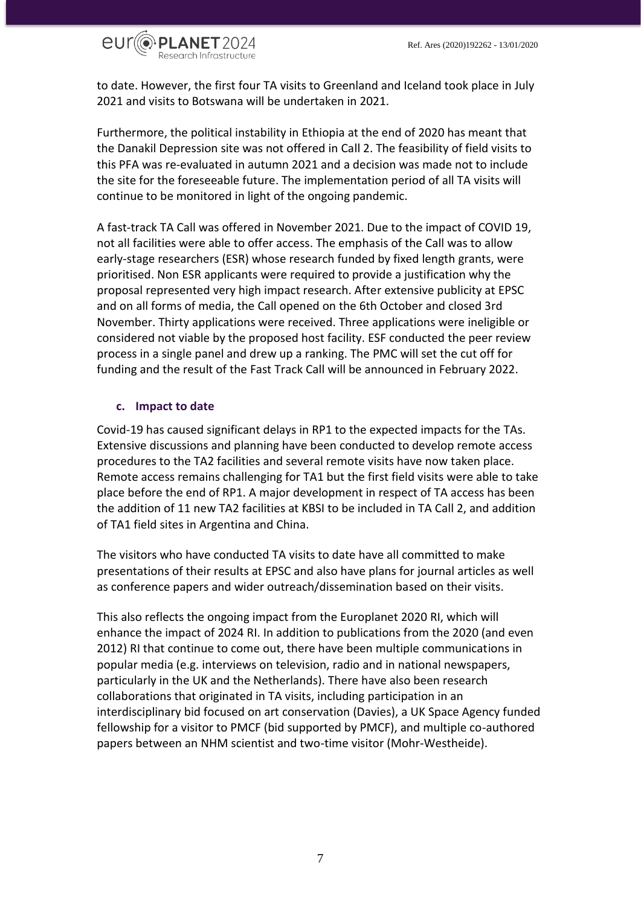

to date. However, the first four TA visits to Greenland and Iceland took place in July 2021 and visits to Botswana will be undertaken in 2021.

Furthermore, the political instability in Ethiopia at the end of 2020 has meant that the Danakil Depression site was not offered in Call 2. The feasibility of field visits to this PFA was re-evaluated in autumn 2021 and a decision was made not to include the site for the foreseeable future. The implementation period of all TA visits will continue to be monitored in light of the ongoing pandemic.

A fast-track TA Call was offered in November 2021. Due to the impact of COVID 19, not all facilities were able to offer access. The emphasis of the Call was to allow early-stage researchers (ESR) whose research funded by fixed length grants, were prioritised. Non ESR applicants were required to provide a justification why the proposal represented very high impact research. After extensive publicity at EPSC and on all forms of media, the Call opened on the 6th October and closed 3rd November. Thirty applications were received. Three applications were ineligible or considered not viable by the proposed host facility. ESF conducted the peer review process in a single panel and drew up a ranking. The PMC will set the cut off for funding and the result of the Fast Track Call will be announced in February 2022.

#### <span id="page-6-0"></span>**c. Impact to date**

Covid-19 has caused significant delays in RP1 to the expected impacts for the TAs. Extensive discussions and planning have been conducted to develop remote access procedures to the TA2 facilities and several remote visits have now taken place. Remote access remains challenging for TA1 but the first field visits were able to take place before the end of RP1. A major development in respect of TA access has been the addition of 11 new TA2 facilities at KBSI to be included in TA Call 2, and addition of TA1 field sites in Argentina and China.

The visitors who have conducted TA visits to date have all committed to make presentations of their results at EPSC and also have plans for journal articles as well as conference papers and wider outreach/dissemination based on their visits.

This also reflects the ongoing impact from the Europlanet 2020 RI, which will enhance the impact of 2024 RI. In addition to publications from the 2020 (and even 2012) RI that continue to come out, there have been multiple communications in popular media (e.g. interviews on television, radio and in national newspapers, particularly in the UK and the Netherlands). There have also been research collaborations that originated in TA visits, including participation in an interdisciplinary bid focused on art conservation (Davies), a UK Space Agency funded fellowship for a visitor to PMCF (bid supported by PMCF), and multiple co-authored papers between an NHM scientist and two-time visitor (Mohr-Westheide).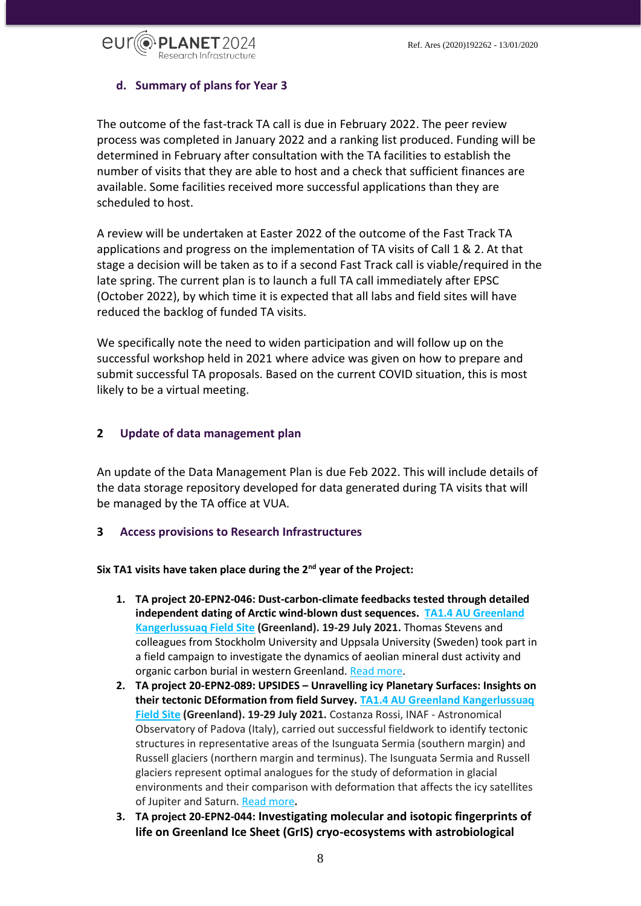

# <span id="page-7-0"></span>**d. Summary of plans for Year 3**

The outcome of the fast-track TA call is due in February 2022. The peer review process was completed in January 2022 and a ranking list produced. Funding will be determined in February after consultation with the TA facilities to establish the number of visits that they are able to host and a check that sufficient finances are available. Some facilities received more successful applications than they are scheduled to host.

A review will be undertaken at Easter 2022 of the outcome of the Fast Track TA applications and progress on the implementation of TA visits of Call 1 & 2. At that stage a decision will be taken as to if a second Fast Track call is viable/required in the late spring. The current plan is to launch a full TA call immediately after EPSC (October 2022), by which time it is expected that all labs and field sites will have reduced the backlog of funded TA visits.

We specifically note the need to widen participation and will follow up on the successful workshop held in 2021 where advice was given on how to prepare and submit successful TA proposals. Based on the current COVID situation, this is most likely to be a virtual meeting.

#### <span id="page-7-1"></span>**2 Update of data management plan**

An update of the Data Management Plan is due Feb 2022. This will include details of the data storage repository developed for data generated during TA visits that will be managed by the TA office at VUA.

#### <span id="page-7-2"></span>**3 Access provisions to Research Infrastructures**

**Six TA1 visits have taken place during the 2nd year of the Project:**

- **1. TA project 20-EPN2-046: Dust-carbon-climate feedbacks tested through detailed independent dating of Arctic wind-blown dust sequences. [TA1.4 AU Greenland](https://www.europlanet-society.org/europlanet-2024-ri/ta1-pfa/ta1-facility-4-au-greenland-kangerlussuaq-field-site/)  [Kangerlussuaq Field Site](https://www.europlanet-society.org/europlanet-2024-ri/ta1-pfa/ta1-facility-4-au-greenland-kangerlussuaq-field-site/) (Greenland). 19-29 July 2021.** Thomas Stevens and colleagues from Stockholm University and Uppsala University (Sweden) took part in a field campaign to investigate the dynamics of aeolian mineral dust activity and organic carbon burial in western Greenland. [Read more.](https://www.europlanet-society.org/20-epn2-046-dust-carbon-climate-feedbacks-tested-through-detailed-independent-dating-of-arctic-wind-blown-dust-sequences-on-greenland/)
- **2. TA project 20-EPN2-089: UPSIDES – Unravelling icy Planetary Surfaces: Insights on their tectonic DEformation from field Survey. [TA1.4 AU Greenland Kangerlussuaq](https://www.europlanet-society.org/europlanet-2024-ri/ta1-pfa/ta1-facility-4-au-greenland-kangerlussuaq-field-site/)  [Field Site](https://www.europlanet-society.org/europlanet-2024-ri/ta1-pfa/ta1-facility-4-au-greenland-kangerlussuaq-field-site/) (Greenland). 19-29 July 2021.** Costanza Rossi, INAF - Astronomical Observatory of Padova (Italy), carried out successful fieldwork to identify tectonic structures in representative areas of the Isunguata Sermia (southern margin) and Russell glaciers (northern margin and terminus). The Isunguata Sermia and Russell glaciers represent optimal analogues for the study of deformation in glacial environments and their comparison with deformation that affects the icy satellites of Jupiter and Saturn. [Read more](https://www.europlanet-society.org/20-epn2-089-upsides-unravelling-icy-planetary-surfaces-insights-on-their-tectonic-deformation-from-field-survey/)**.**
- **3. TA project 20-EPN2-044: Investigating molecular and isotopic fingerprints of life on Greenland Ice Sheet (GrIS) cryo-ecosystems with astrobiological**